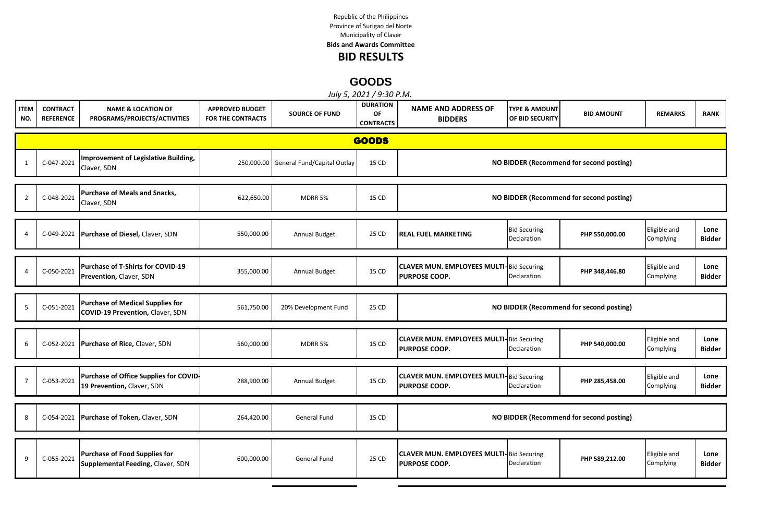Republic of the Philippines Municipality of Claver Province of Surigao del Norte **Bids and Awards Committee**

## **BID RESULTS**

## **GOODS**

|                    |                                     |                                                                                    |                                             |                                        | July 5, 2021 / 9:30 P.M.                  |                                                                         |                                             |                                          |                           |                       |
|--------------------|-------------------------------------|------------------------------------------------------------------------------------|---------------------------------------------|----------------------------------------|-------------------------------------------|-------------------------------------------------------------------------|---------------------------------------------|------------------------------------------|---------------------------|-----------------------|
| <b>ITEM</b><br>NO. | <b>CONTRACT</b><br><b>REFERENCE</b> | <b>NAME &amp; LOCATION OF</b><br>PROGRAMS/PROJECTS/ACTIVITIES                      | <b>APPROVED BUDGET</b><br>FOR THE CONTRACTS | <b>SOURCE OF FUND</b>                  | <b>DURATION</b><br>OF<br><b>CONTRACTS</b> | <b>NAME AND ADDRESS OF</b><br><b>BIDDERS</b>                            | <b>TYPE &amp; AMOUNT</b><br>OF BID SECURITY | <b>BID AMOUNT</b>                        | <b>REMARKS</b>            | <b>RANK</b>           |
|                    |                                     |                                                                                    |                                             |                                        | <b>GOODS</b>                              |                                                                         |                                             |                                          |                           |                       |
| $\mathbf{1}$       | C-047-2021                          | Improvement of Legislative Building,<br>Claver, SDN                                |                                             | 250,000.00 General Fund/Capital Outlay | 15 CD                                     |                                                                         |                                             | NO BIDDER (Recommend for second posting) |                           |                       |
| $\overline{2}$     | C-048-2021                          | <b>Purchase of Meals and Snacks,</b><br>Claver, SDN                                | 622,650.00                                  | MDRR 5%                                | 15 CD                                     |                                                                         |                                             | NO BIDDER (Recommend for second posting) |                           |                       |
| $\overline{4}$     |                                     | C-049-2021 Purchase of Diesel, Claver, SDN                                         | 550,000.00                                  | Annual Budget                          | 25 CD                                     | <b>REAL FUEL MARKETING</b>                                              | <b>Bid Securing</b><br>Declaration          | PHP 550,000.00                           | Eligible and<br>Complying | Lone<br><b>Bidder</b> |
| $\Delta$           | C-050-2021                          | Purchase of T-Shirts for COVID-19<br>Prevention, Claver, SDN                       | 355,000.00                                  | Annual Budget                          | 15 CD                                     | <b>CLAVER MUN. EMPLOYEES MULTI-Bid Securing</b><br><b>PURPOSE COOP.</b> | Declaration                                 | PHP 348,446.80                           | Eligible and<br>Complying | Lone<br>Bidder        |
| 5                  | C-051-2021                          | <b>Purchase of Medical Supplies for</b><br><b>COVID-19 Prevention, Claver, SDN</b> | 561,750.00                                  | 20% Development Fund                   | 25 CD                                     |                                                                         |                                             | NO BIDDER (Recommend for second posting) |                           |                       |
| 6                  |                                     | C-052-2021 Purchase of Rice, Claver, SDN                                           | 560,000.00                                  | MDRR 5%                                | 15 CD                                     | <b>CLAVER MUN. EMPLOYEES MULTI-Bid Securing</b><br><b>PURPOSE COOP.</b> | Declaration                                 | PHP 540,000.00                           | Eligible and<br>Complying | Lone<br><b>Bidder</b> |
| $\overline{7}$     | C-053-2021                          | Purchase of Office Supplies for COVID-<br>19 Prevention, Claver, SDN               | 288,900.00                                  | Annual Budget                          | 15 CD                                     | <b>CLAVER MUN. EMPLOYEES MULTI-Bid Securing</b><br><b>PURPOSE COOP.</b> | Declaration                                 | PHP 285,458.00                           | Eligible and<br>Complying | Lone<br>Bidder        |
| 8                  |                                     | C-054-2021 Purchase of Token, Claver, SDN                                          | 264,420.00                                  | General Fund                           | 15 CD                                     |                                                                         |                                             | NO BIDDER (Recommend for second posting) |                           |                       |
| 9                  | C-055-2021                          | Purchase of Food Supplies for<br>Supplemental Feeding, Claver, SDN                 | 600,000.00                                  | General Fund                           | 25 CD                                     | <b>CLAVER MUN. EMPLOYEES MULTI-Bid Securing</b><br><b>PURPOSE COOP.</b> | Declaration                                 | PHP 589,212.00                           | Eligible and<br>Complying | Lone<br>Bidder        |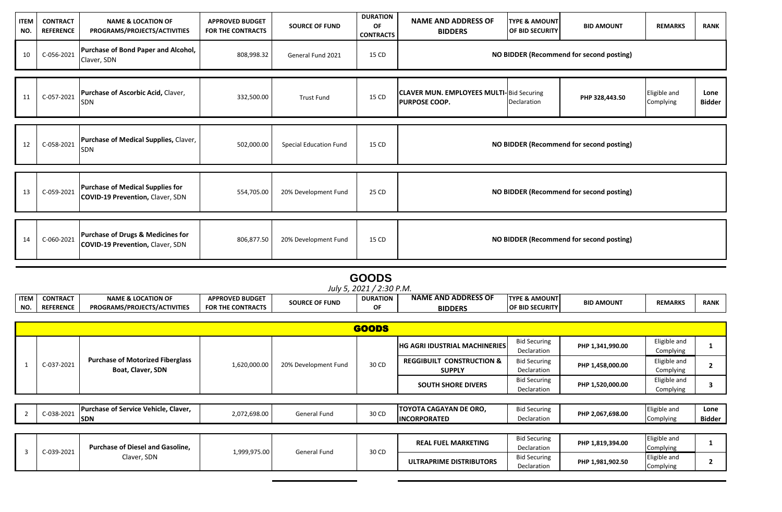| <b>ITEM</b><br>NO. | <b>CONTRACT</b><br><b>REFERENCE</b> | <b>NAME &amp; LOCATION OF</b><br>PROGRAMS/PROJECTS/ACTIVITIES                           | <b>APPROVED BUDGET</b><br><b>FOR THE CONTRACTS</b> | <b>SOURCE OF FUND</b>  | <b>DURATION</b><br>OF<br><b>CONTRACTS</b> | <b>NAME AND ADDRESS OF</b><br><b>BIDDERS</b>                            | <b>TYPE &amp; AMOUNT</b><br><b>OF BID SECURITY</b> | <b>BID AMOUNT</b>                        | <b>REMARKS</b>            | <b>RANK</b>           |
|--------------------|-------------------------------------|-----------------------------------------------------------------------------------------|----------------------------------------------------|------------------------|-------------------------------------------|-------------------------------------------------------------------------|----------------------------------------------------|------------------------------------------|---------------------------|-----------------------|
| 10                 | C-056-2021                          | Purchase of Bond Paper and Alcohol,<br>Claver, SDN                                      | 808,998.32                                         | General Fund 2021      | 15 CD                                     |                                                                         |                                                    | NO BIDDER (Recommend for second posting) |                           |                       |
|                    |                                     |                                                                                         |                                                    |                        |                                           |                                                                         |                                                    |                                          |                           |                       |
| 11                 | C-057-2021                          | Purchase of Ascorbic Acid, Claver,<br>SDN                                               | 332,500.00                                         | <b>Trust Fund</b>      | 15 CD                                     | <b>CLAVER MUN. EMPLOYEES MULTI-Bid Securing</b><br><b>PURPOSE COOP.</b> | Declaration                                        | PHP 328,443.50                           | Eligible and<br>Complying | Lone<br><b>Bidder</b> |
|                    |                                     |                                                                                         |                                                    |                        |                                           |                                                                         |                                                    |                                          |                           |                       |
| 12                 | C-058-2021                          | Purchase of Medical Supplies, Claver,<br><b>SDN</b>                                     | 502,000.00                                         | Special Education Fund | 15 CD                                     | NO BIDDER (Recommend for second posting)                                |                                                    |                                          |                           |                       |
|                    |                                     |                                                                                         |                                                    |                        |                                           |                                                                         |                                                    |                                          |                           |                       |
| 13                 | C-059-2021                          | Purchase of Medical Supplies for<br><b>COVID-19 Prevention, Claver, SDN</b>             | 554,705.00                                         | 20% Development Fund   | 25 CD                                     | NO BIDDER (Recommend for second posting)                                |                                                    |                                          |                           |                       |
|                    |                                     |                                                                                         |                                                    |                        |                                           |                                                                         |                                                    |                                          |                           |                       |
| 14                 | C-060-2021                          | <b>Purchase of Drugs &amp; Medicines for</b><br><b>COVID-19 Prevention, Claver, SDN</b> | 806,877.50                                         | 20% Development Fund   | 15 CD                                     |                                                                         |                                                    | NO BIDDER (Recommend for second posting) |                           |                       |

|             |                          |                                     |                          |                       | <b>GOODS</b>    |                            |                          |                   |                |             |  |  |
|-------------|--------------------------|-------------------------------------|--------------------------|-----------------------|-----------------|----------------------------|--------------------------|-------------------|----------------|-------------|--|--|
|             | July 5, 2021 / 2:30 P.M. |                                     |                          |                       |                 |                            |                          |                   |                |             |  |  |
| <b>ITEM</b> | <b>CONTRACT</b>          | <b>NAME &amp; LOCATION OF</b>       | <b>APPROVED BUDGET</b>   | <b>SOURCE OF FUND</b> | <b>DURATION</b> | <b>NAME AND ADDRESS OF</b> | <b>TYPE &amp; AMOUNT</b> | <b>BID AMOUNT</b> | <b>REMARKS</b> | <b>RANK</b> |  |  |
| NO.         | <b>REFERENCE</b>         | <b>PROGRAMS/PROJECTS/ACTIVITIES</b> | <b>FOR THE CONTRACTS</b> |                       | nЕ              | <b>BIDDERS</b>             | <b>OF BID SECURITY</b>   |                   |                |             |  |  |
|             |                          |                                     |                          |                       |                 |                            |                          |                   |                |             |  |  |

|            |                                         |              |                      | <b>GOODS</b> |                                      |                     |                  |              |  |
|------------|-----------------------------------------|--------------|----------------------|--------------|--------------------------------------|---------------------|------------------|--------------|--|
|            |                                         |              |                      |              | <b>HG AGRI IDUSTRIAL MACHINERIES</b> | <b>Bid Securing</b> | PHP 1,341,990.00 | Eligible and |  |
|            |                                         |              |                      |              |                                      | Declaration         |                  | Complying    |  |
| C-037-2021 | <b>Purchase of Motorized Fiberglass</b> | 1,620,000.00 | 20% Development Fund | 30 CD        | <b>REGGIBUILT CONSTRUCTION &amp;</b> | <b>Bid Securing</b> | PHP 1,458,000.00 | Eligible and |  |
|            | Boat, Claver, SDN                       |              |                      |              | <b>SUPPLY</b>                        | Declaration         |                  | Complying    |  |
|            |                                         |              |                      |              |                                      | <b>Bid Securing</b> | PHP 1,520,000.00 | Eligible and |  |
|            |                                         |              |                      |              | <b>SOUTH SHORE DIVERS</b>            | Declaration         |                  | Complying    |  |

| <b>Purchase of Service Vehicle, Claver,</b><br>0.020.00 | 2.072.   |              |      | <b>TOYOTA CAGAYAN DE ORO.</b> | <b>Bid Securing</b> | PHP 2.067.698.00 | Eligible and      | Lone   |
|---------------------------------------------------------|----------|--------------|------|-------------------------------|---------------------|------------------|-------------------|--------|
| $-1132$<br>.<br>$\sim$ $\sim$<br><b>SDN</b>             | 2,698.00 | General Fund | 0 CD | <b>INCORPORATED</b>           | Declaration         |                  | Complying<br>וטטו | Bidder |

| C-039-2021 | <b>Purchase of Diesel and Gasoline.</b> | 1,999,975.00 | General Fund | 30 CD | <b>REAL FUEL MARKETING</b> | <b>Bid Securing</b><br>Declaration | PHP 1,819,394.00 | Eligible and<br>Complying |  |
|------------|-----------------------------------------|--------------|--------------|-------|----------------------------|------------------------------------|------------------|---------------------------|--|
|            | Claver, SDN                             |              |              |       | ULTRAPRIME DISTRIBUTORS    | <b>Bid Securing</b><br>Declaration | PHP 1,981,902.50 | Eligible and<br>Complyin  |  |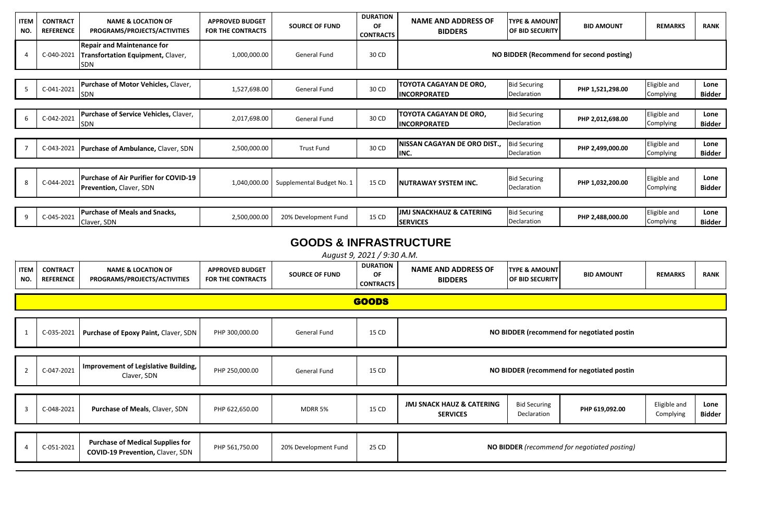| <b>ITEM</b><br>NO. | <b>CONTRACT</b><br><b>REFERENCE</b> | <b>NAME &amp; LOCATION OF</b><br>PROGRAMS/PROJECTS/ACTIVITIES                  | <b>APPROVED BUDGET</b><br><b>FOR THE CONTRACTS</b> | <b>SOURCE OF FUND</b>     | <b>DURATION</b><br>OF<br><b>CONTRACTS</b> | <b>NAME AND ADDRESS OF</b><br><b>BIDDERS</b>  | <b>TYPE &amp; AMOUNT</b><br>OF BID SECURITY | <b>BID AMOUNT</b>                        | <b>REMARKS</b>            | <b>RANK</b>           |
|--------------------|-------------------------------------|--------------------------------------------------------------------------------|----------------------------------------------------|---------------------------|-------------------------------------------|-----------------------------------------------|---------------------------------------------|------------------------------------------|---------------------------|-----------------------|
|                    | C-040-2021                          | <b>Repair and Maintenance for</b><br>Transfortation Equipment, Claver,<br>SDN  | 1,000,000.00                                       | <b>General Fund</b>       | 30 CD                                     |                                               |                                             | NO BIDDER (Recommend for second posting) |                           |                       |
|                    |                                     |                                                                                |                                                    |                           |                                           |                                               |                                             |                                          |                           |                       |
|                    | C-041-2021                          | Purchase of Motor Vehicles, Claver,<br><b>SDN</b>                              | 1,527,698.00                                       | <b>General Fund</b>       | 30 CD                                     | TOYOTA CAGAYAN DE ORO,<br><b>INCORPORATED</b> | <b>Bid Securing</b><br>Declaration          | PHP 1,521,298.00                         | Eligible and<br>Complying | Lone<br>Bidder        |
|                    |                                     |                                                                                |                                                    |                           |                                           |                                               |                                             |                                          |                           |                       |
| 6                  | C-042-2021                          | Purchase of Service Vehicles, Claver,<br><b>SDN</b>                            | 2,017,698.00                                       | <b>General Fund</b>       | 30 CD                                     | TOYOTA CAGAYAN DE ORO,<br><b>INCORPORATED</b> | <b>Bid Securing</b><br>Declaration          | PHP 2,012,698.00                         | Eligible and<br>Complying | Lone<br><b>Bidder</b> |
|                    |                                     |                                                                                |                                                    |                           |                                           |                                               |                                             |                                          |                           |                       |
|                    | C-043-2021                          | <b>Purchase of Ambulance, Claver, SDN</b>                                      | 2,500,000.00                                       | <b>Trust Fund</b>         | 30 CD                                     | NISSAN CAGAYAN DE ORO DIST.,<br>INC.          | <b>Bid Securing</b><br>Declaration          | PHP 2,499,000.00                         | Eligible and<br>Complying | Lone<br>Bidder        |
|                    |                                     |                                                                                |                                                    |                           |                                           |                                               |                                             |                                          |                           |                       |
| 8                  | C-044-2021                          | <b>Purchase of Air Purifier for COVID-19</b><br><b>Prevention, Claver, SDN</b> | 1,040,000.00                                       | Supplemental Budget No. 1 | 15 CD                                     | NUTRAWAY SYSTEM INC.                          | <b>Bid Securing</b><br>Declaration          | PHP 1,032,200.00                         | Eligible and<br>Complying | Lone<br><b>Bidder</b> |
|                    |                                     |                                                                                |                                                    |                           |                                           |                                               |                                             |                                          |                           |                       |
| 9                  | C-045-2021                          | <b>Purchase of Meals and Snacks,</b><br>Claver, SDN                            | 2,500,000.00                                       | 20% Development Fund      | 15 CD                                     | JMJ SNACKHAUZ & CATERING<br><b>SERVICES</b>   | <b>Bid Securing</b><br>Declaration          | PHP 2,488,000.00                         | Eligible and<br>Complying | Lone<br>Bidder        |

## **GOODS & INFRASTRUCTURE**

*August 9, 2021 / 9:30 A.M.*

| <b>ITEM</b><br>NO. | <b>CONTRACT</b><br><b>REFERENCE</b> | <b>NAME &amp; LOCATION OF</b><br>PROGRAMS/PROJECTS/ACTIVITIES                      | <b>APPROVED BUDGET</b><br><b>FOR THE CONTRACTS</b> | <b>SOURCE OF FUND</b> | <b>DURATION</b><br>OF<br><b>CONTRACTS</b> | <b>NAME AND ADDRESS OF</b><br><b>BIDDERS</b>                                                                                                                   | <b>TYPE &amp; AMOUNT</b><br><b>OF BID SECURITY</b> | <b>BID AMOUNT</b>                            | <b>REMARKS</b> | <b>RANK</b> |
|--------------------|-------------------------------------|------------------------------------------------------------------------------------|----------------------------------------------------|-----------------------|-------------------------------------------|----------------------------------------------------------------------------------------------------------------------------------------------------------------|----------------------------------------------------|----------------------------------------------|----------------|-------------|
|                    |                                     |                                                                                    |                                                    |                       | <b>GOODS</b>                              |                                                                                                                                                                |                                                    |                                              |                |             |
|                    | C-035-2021                          | Purchase of Epoxy Paint, Claver, SDN                                               | PHP 300,000.00                                     | General Fund          | 15 CD                                     |                                                                                                                                                                |                                                    | NO BIDDER (recommend for negotiated postin   |                |             |
| $\overline{2}$     | C-047-2021                          | Improvement of Legislative Building,<br>Claver, SDN                                | PHP 250,000.00                                     | General Fund          | 15 CD                                     | NO BIDDER (recommend for negotiated postin                                                                                                                     |                                                    |                                              |                |             |
| 3                  | C-048-2021                          | Purchase of Meals, Claver, SDN                                                     | PHP 622,650.00                                     | MDRR 5%               | 15 CD                                     | <b>JMJ SNACK HAUZ &amp; CATERING</b><br>Eligible and<br><b>Bid Securing</b><br>Lone<br>PHP 619,092.00<br>Declaration<br>Complying<br>Bidder<br><b>SERVICES</b> |                                                    |                                              |                |             |
|                    | C-051-2021                          | <b>Purchase of Medical Supplies for</b><br><b>COVID-19 Prevention, Claver, SDN</b> | PHP 561,750.00                                     | 20% Development Fund  | 25 CD                                     |                                                                                                                                                                |                                                    | NO BIDDER (recommend for negotiated posting) |                |             |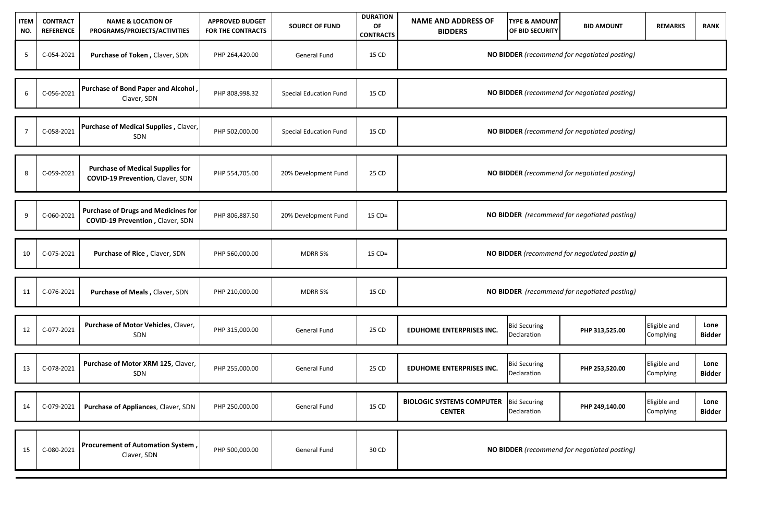| <b>ITEM</b><br>NO. | <b>CONTRACT</b><br><b>REFERENCE</b> | <b>NAME &amp; LOCATION OF</b><br>PROGRAMS/PROJECTS/ACTIVITIES                  | <b>APPROVED BUDGET</b><br>FOR THE CONTRACTS | <b>SOURCE OF FUND</b>         | <b>DURATION</b><br>OF<br><b>CONTRACTS</b> | <b>NAME AND ADDRESS OF</b><br><b>BIDDERS</b>      | <b>TYPE &amp; AMOUNT</b><br><b>OF BID SECURITY</b> | <b>BID AMOUNT</b>                             | <b>REMARKS</b>            | <b>RANK</b>           |
|--------------------|-------------------------------------|--------------------------------------------------------------------------------|---------------------------------------------|-------------------------------|-------------------------------------------|---------------------------------------------------|----------------------------------------------------|-----------------------------------------------|---------------------------|-----------------------|
| 5                  | C-054-2021                          | Purchase of Token, Claver, SDN                                                 | PHP 264,420.00                              | General Fund                  | 15 CD                                     |                                                   |                                                    | NO BIDDER (recommend for negotiated posting)  |                           |                       |
| 6                  | C-056-2021                          | Purchase of Bond Paper and Alcohol<br>Claver, SDN                              | PHP 808,998.32                              | Special Education Fund        | 15 CD                                     |                                                   |                                                    | NO BIDDER (recommend for negotiated posting)  |                           |                       |
| $\overline{7}$     | C-058-2021                          | Purchase of Medical Supplies, Claver,<br>SDN                                   | PHP 502,000.00                              | <b>Special Education Fund</b> | 15 CD                                     |                                                   |                                                    | NO BIDDER (recommend for negotiated posting)  |                           |                       |
| 8                  | C-059-2021                          | <b>Purchase of Medical Supplies for</b><br>COVID-19 Prevention, Claver, SDN    | PHP 554,705.00                              | 20% Development Fund          | 25 CD                                     |                                                   |                                                    | NO BIDDER (recommend for negotiated posting)  |                           |                       |
| 9                  | C-060-2021                          | <b>Purchase of Drugs and Medicines for</b><br>COVID-19 Prevention, Claver, SDN | PHP 806,887.50                              | 20% Development Fund          | $15$ CD=                                  |                                                   |                                                    | NO BIDDER (recommend for negotiated posting)  |                           |                       |
| 10                 | C-075-2021                          | Purchase of Rice, Claver, SDN                                                  | PHP 560,000.00                              | MDRR 5%                       | $15$ CD=                                  |                                                   |                                                    | NO BIDDER (recommend for negotiated postin g) |                           |                       |
| 11                 | C-076-2021                          | Purchase of Meals, Claver, SDN                                                 | PHP 210,000.00                              | MDRR 5%                       | 15 CD                                     |                                                   |                                                    | NO BIDDER (recommend for negotiated posting)  |                           |                       |
| 12                 | C-077-2021                          | Purchase of Motor Vehicles, Claver,<br>SDN                                     | PHP 315,000.00                              | General Fund                  | 25 CD                                     | <b>EDUHOME ENTERPRISES INC.</b>                   | <b>Bid Securing</b><br>Declaration                 | PHP 313,525.00                                | Eligible and<br>Complying | Lone<br><b>Bidder</b> |
| 13                 | C-078-2021                          | Purchase of Motor XRM 125, Claver,<br>SDN                                      | PHP 255,000.00                              | General Fund                  | 25 CD                                     | <b>EDUHOME ENTERPRISES INC.</b>                   | <b>Bid Securing</b><br>Declaration                 | PHP 253,520.00                                | Eligible and<br>Complying | Lone<br><b>Bidder</b> |
| 14                 | C-079-2021                          | Purchase of Appliances, Claver, SDN                                            | PHP 250,000.00                              | General Fund                  | 15 CD                                     | <b>BIOLOGIC SYSTEMS COMPUTER</b><br><b>CENTER</b> | <b>Bid Securing</b><br>Declaration                 | PHP 249,140.00                                | Eligible and<br>Complying | Lone<br>Bidder        |
| 15                 | C-080-2021                          | Procurement of Automation System,<br>Claver, SDN                               | PHP 500,000.00                              | General Fund                  | 30 CD                                     |                                                   |                                                    | NO BIDDER (recommend for negotiated posting)  |                           |                       |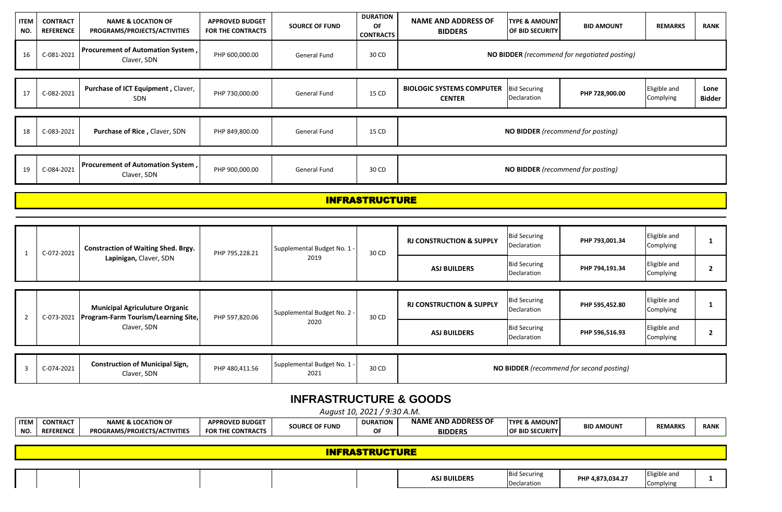| <b>ITEM</b><br>NO. | <b>CONTRACT</b><br><b>REFERENCE</b> | <b>NAME &amp; LOCATION OF</b><br>PROGRAMS/PROJECTS/ACTIVITIES                | <b>APPROVED BUDGET</b><br><b>FOR THE CONTRACTS</b> | <b>SOURCE OF FUND</b>             | <b>DURATION</b><br>OF<br><b>CONTRACTS</b> | <b>NAME AND ADDRESS OF</b><br><b>BIDDERS</b>      | <b>TYPE &amp; AMOUNT</b><br>OF BID SECURITY | <b>BID AMOUNT</b>                            | <b>REMARKS</b>            | <b>RANK</b>           |
|--------------------|-------------------------------------|------------------------------------------------------------------------------|----------------------------------------------------|-----------------------------------|-------------------------------------------|---------------------------------------------------|---------------------------------------------|----------------------------------------------|---------------------------|-----------------------|
| 16                 | C-081-2021                          | Procurement of Automation System,<br>Claver, SDN                             | PHP 600,000.00                                     | <b>General Fund</b>               | 30 CD                                     |                                                   |                                             | NO BIDDER (recommend for negotiated posting) |                           |                       |
| 17                 | C-082-2021                          | Purchase of ICT Equipment, Claver,<br>SDN                                    | PHP 730,000.00                                     | General Fund                      | 15 CD                                     | <b>BIOLOGIC SYSTEMS COMPUTER</b><br><b>CENTER</b> | <b>Bid Securing</b><br>Declaration          | PHP 728,900.00                               | Eligible and<br>Complying | Lone<br><b>Bidder</b> |
| 18                 | C-083-2021                          | Purchase of Rice, Claver, SDN                                                | PHP 849,800.00                                     | General Fund                      | 15 CD                                     |                                                   |                                             | NO BIDDER (recommend for posting)            |                           |                       |
| 19                 | C-084-2021                          | Procurement of Automation System,<br>Claver, SDN                             | PHP 900,000.00                                     | General Fund                      | 30 CD                                     | NO BIDDER (recommend for posting)                 |                                             |                                              |                           |                       |
|                    |                                     |                                                                              |                                                    |                                   | <b>INFRASTRUCTURE</b>                     |                                                   |                                             |                                              |                           |                       |
|                    |                                     |                                                                              |                                                    |                                   |                                           |                                                   |                                             |                                              |                           |                       |
| $\mathbf{1}$       | C-072-2021                          | <b>Constraction of Waiting Shed. Brgy.</b>                                   | PHP 795,228.21                                     | Supplemental Budget No. 1 -       | 30 CD                                     | <b>RJ CONSTRUCTION &amp; SUPPLY</b>               | <b>Bid Securing</b><br>Declaration          | PHP 793,001.34                               | Eligible and<br>Complying | $\mathbf{1}$          |
|                    |                                     | Lapinigan, Claver, SDN                                                       |                                                    | 2019                              |                                           | <b>ASJ BUILDERS</b>                               | <b>Bid Securing</b><br>Declaration          | PHP 794,191.34                               | Eligible and<br>Complying | $\mathbf{2}$          |
| $\overline{2}$     | C-073-2021                          | <b>Municipal Agriculuture Organic</b><br>Program-Farm Tourism/Learning Site, | PHP 597,820.06                                     | Supplemental Budget No. 2 -       | 30 CD                                     | <b>RJ CONSTRUCTION &amp; SUPPLY</b>               | <b>Bid Securing</b><br>Declaration          | PHP 595,452.80                               | Eligible and<br>Complying | 1                     |
|                    |                                     | Claver, SDN                                                                  |                                                    | 2020                              |                                           | <b>ASJ BUILDERS</b>                               | <b>Bid Securing</b><br>Declaration          | PHP 596,516.93                               | Eligible and<br>Complying | $\mathbf{2}$          |
| $\overline{3}$     | C-074-2021                          | <b>Construction of Municipal Sign,</b><br>Claver, SDN                        | PHP 480,411.56                                     | Supplemental Budget No. 1<br>2021 | 30 CD                                     |                                                   |                                             | NO BIDDER (recommend for second posting)     |                           |                       |

## **INFRASTRUCTURE & GOODS**

|                             | $(0.20)^{\circ}$<br>222<br>…ugust<br>202.<br>A.M. |                                     |                          |                       |                 |                          |                          |                   |                |             |  |
|-----------------------------|---------------------------------------------------|-------------------------------------|--------------------------|-----------------------|-----------------|--------------------------|--------------------------|-------------------|----------------|-------------|--|
| <b>ITEM</b>                 | <b>CONTRACT</b>                                   | <b>NAME &amp; LOCATION OF</b>       | <b>APPROVED BUDGET</b>   | <b>SOURCE OF FUND</b> | <b>DURATION</b> | . AND ADDRESS OF<br>NAME | <b>TYPE &amp; AMOUNT</b> | <b>BID AMOUNT</b> | <b>REMARKS</b> | <b>RANI</b> |  |
| <b>N<sub>O</sub></b><br>טיי | <b>REFERENCE</b>                                  | <b>PROGRAMS/PROJECTS/ACTIVITIES</b> | <b>FOR THE CONTRACTS</b> |                       | ΩF              | <b>BIDDERS</b>           | <b>OF BID SECURITY</b>   |                   |                |             |  |
|                             |                                                   |                                     |                          |                       |                 |                          |                          |                   |                |             |  |

| <b>INFRASTRUCTURE</b> |  |  |  |  |                     |                     |                  |              |  |
|-----------------------|--|--|--|--|---------------------|---------------------|------------------|--------------|--|
|                       |  |  |  |  |                     |                     |                  |              |  |
|                       |  |  |  |  | <b>ASJ BUILDERS</b> | <b>Bid Securing</b> | PHP 4,873,034.27 | Eligible and |  |
|                       |  |  |  |  |                     | Declaration         |                  | Complying    |  |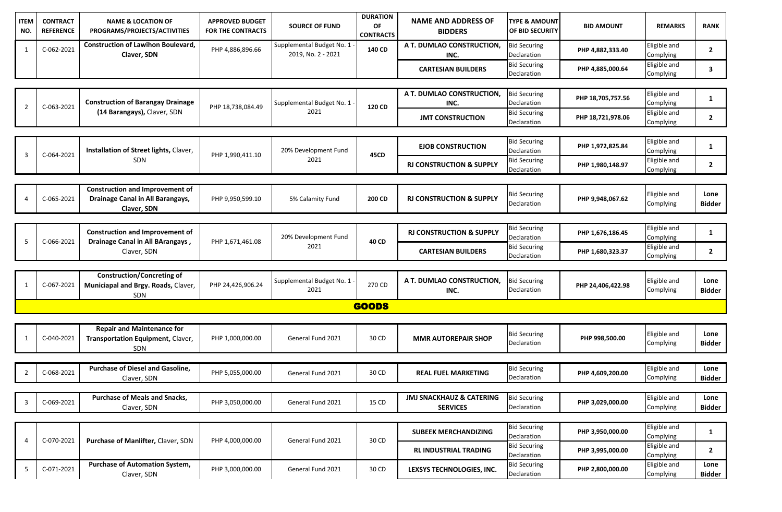| <b>ITEM</b><br>NO. | <b>CONTRACT</b><br><b>REFERENCE</b> | <b>NAME &amp; LOCATION OF</b><br>PROGRAMS/PROJECTS/ACTIVITIES                             | <b>APPROVED BUDGET</b><br><b>FOR THE CONTRACTS</b> | <b>SOURCE OF FUND</b>                             | <b>DURATION</b><br>OF<br><b>CONTRACTS</b> | <b>NAME AND ADDRESS OF</b><br><b>BIDDERS</b>           | <b>TYPE &amp; AMOUNT</b><br>OF BID SECURITY | <b>BID AMOUNT</b> | <b>REMARKS</b>            | <b>RANK</b>           |
|--------------------|-------------------------------------|-------------------------------------------------------------------------------------------|----------------------------------------------------|---------------------------------------------------|-------------------------------------------|--------------------------------------------------------|---------------------------------------------|-------------------|---------------------------|-----------------------|
| 1                  | C-062-2021                          | <b>Construction of Lawihon Boulevard,</b><br>Claver, SDN                                  | PHP 4,886,896.66                                   | Supplemental Budget No. 1 .<br>2019, No. 2 - 2021 | 140 CD                                    | A T. DUMLAO CONSTRUCTION,<br>INC.                      | <b>Bid Securing</b><br>Declaration          | PHP 4,882,333.40  | Eligible and<br>Complying | $\mathbf{2}$          |
|                    |                                     |                                                                                           |                                                    |                                                   |                                           | <b>CARTESIAN BUILDERS</b>                              | <b>Bid Securing</b><br>Declaration          | PHP 4,885,000.64  | Eligible and<br>Complying | 3                     |
|                    |                                     |                                                                                           |                                                    |                                                   |                                           |                                                        |                                             |                   |                           |                       |
| $\overline{2}$     | C-063-2021                          | <b>Construction of Barangay Drainage</b><br>(14 Barangays), Claver, SDN                   | PHP 18,738,084.49                                  | Supplemental Budget No. 1 .<br>2021               | 120 CD                                    | A T. DUMLAO CONSTRUCTION,<br>INC.                      | <b>Bid Securing</b><br>Declaration          | PHP 18,705,757.56 | Eligible and<br>Complying | $\mathbf{1}$          |
|                    |                                     |                                                                                           |                                                    |                                                   |                                           | <b>JMT CONSTRUCTION</b>                                | <b>Bid Securing</b><br>Declaration          | PHP 18,721,978.06 | Eligible and<br>Complying | $\mathbf{2}$          |
|                    |                                     |                                                                                           |                                                    |                                                   |                                           |                                                        |                                             |                   |                           |                       |
|                    | C-064-2021                          | Installation of Street lights, Claver,<br><b>SDN</b>                                      | PHP 1,990,411.10                                   | 20% Development Fund<br>2021                      | 45CD                                      | <b>EJOB CONSTRUCTION</b>                               | <b>Bid Securing</b><br>Declaration          | PHP 1,972,825.84  | Eligible and<br>Complying | 1                     |
| 3                  |                                     |                                                                                           |                                                    |                                                   |                                           | <b>RJ CONSTRUCTION &amp; SUPPLY</b>                    | <b>Bid Securing</b><br>Declaration          | PHP 1,980,148.97  | Eligible and<br>Complying | 2                     |
|                    |                                     |                                                                                           |                                                    |                                                   |                                           |                                                        |                                             |                   |                           |                       |
|                    | C-065-2021                          | <b>Construction and Improvement of</b><br>Drainage Canal in All Barangays,<br>Claver, SDN | PHP 9,950,599.10                                   | 5% Calamity Fund                                  | 200 CD                                    | <b>RJ CONSTRUCTION &amp; SUPPLY</b>                    | <b>Bid Securing</b><br>Declaration          | PHP 9,948,067.62  | Eligible and<br>Complying | Lone<br><b>Bidder</b> |
|                    |                                     |                                                                                           |                                                    |                                                   |                                           |                                                        |                                             |                   |                           |                       |
|                    | C-066-2021                          | <b>Construction and Improvement of</b><br>Drainage Canal in All BArangays,<br>Claver, SDN | PHP 1,671,461.08                                   | 20% Development Fund<br>2021                      | 40 CD                                     | <b>RJ CONSTRUCTION &amp; SUPPLY</b>                    | <b>Bid Securing</b><br>Declaration          | PHP 1,676,186.45  | Eligible and<br>Complying | $\mathbf{1}$          |
| 5                  |                                     |                                                                                           |                                                    |                                                   |                                           | <b>CARTESIAN BUILDERS</b>                              | <b>Bid Securing</b><br>Declaration          | PHP 1,680,323.37  | Eligible and<br>Complying | $\mathbf{2}$          |
|                    |                                     |                                                                                           |                                                    |                                                   |                                           |                                                        |                                             |                   |                           |                       |
| 1                  | C-067-2021                          | <b>Construction/Concreting of</b><br>Municiapal and Brgy. Roads, Claver,<br>SDN           | PHP 24,426,906.24                                  | Supplemental Budget No. 1<br>2021                 | 270 CD                                    | A T. DUMLAO CONSTRUCTION,<br>INC.                      | <b>Bid Securing</b><br>Declaration          | PHP 24,406,422.98 | Eligible and<br>Complying | Lone<br><b>Bidder</b> |
|                    |                                     |                                                                                           |                                                    |                                                   | <b>GOODS</b>                              |                                                        |                                             |                   |                           |                       |
|                    |                                     |                                                                                           |                                                    |                                                   |                                           |                                                        |                                             |                   |                           |                       |
| 1                  | C-040-2021                          | <b>Repair and Maintenance for</b><br>Transportation Equipment, Claver,<br>SDN             | PHP 1,000,000.00                                   | General Fund 2021                                 | 30 CD                                     | <b>MMR AUTOREPAIR SHOP</b>                             | <b>Bid Securing</b><br>Declaration          | PHP 998,500.00    | Eligible and<br>Complying | Lone<br>Bidder        |
|                    |                                     |                                                                                           |                                                    |                                                   |                                           |                                                        |                                             |                   |                           |                       |
| $\overline{2}$     | C-068-2021                          | <b>Purchase of Diesel and Gasoline,</b><br>Claver, SDN                                    | PHP 5,055,000.00                                   | General Fund 2021                                 | 30 CD                                     | <b>REAL FUEL MARKETING</b>                             | <b>Bid Securing</b><br>Declaration          | PHP 4,609,200.00  | Eligible and<br>Complying | Lone<br>Bidder        |
|                    |                                     |                                                                                           |                                                    |                                                   |                                           |                                                        |                                             |                   |                           |                       |
| $\overline{3}$     | C-069-2021                          | <b>Purchase of Meals and Snacks,</b><br>Claver, SDN                                       | PHP 3,050,000.00                                   | General Fund 2021                                 | 15 CD                                     | <b>JMJ SNACKHAUZ &amp; CATERING</b><br><b>SERVICES</b> | <b>Bid Securing</b><br>Declaration          | PHP 3,029,000.00  | Eligible and<br>Complying | Lone<br>Bidder        |
|                    |                                     |                                                                                           |                                                    |                                                   |                                           |                                                        |                                             |                   |                           |                       |
| $\overline{4}$     | C-070-2021                          | Purchase of Manlifter, Claver, SDN                                                        | PHP 4,000,000.00                                   | General Fund 2021                                 | 30 CD                                     | <b>SUBEEK MERCHANDIZING</b>                            | <b>Bid Securing</b><br>Declaration          | PHP 3,950,000.00  | Eligible and<br>Complying | 1                     |
|                    |                                     |                                                                                           |                                                    |                                                   |                                           | <b>RL INDUSTRIAL TRADING</b>                           | <b>Bid Securing</b><br>Declaration          | PHP 3,995,000.00  | Eligible and<br>Complying | $\mathbf{2}$          |
| 5                  | C-071-2021                          | <b>Purchase of Automation System,</b><br>Claver, SDN                                      | PHP 3,000,000.00                                   | General Fund 2021                                 | 30 CD                                     | LEXSYS TECHNOLOGIES, INC.                              | <b>Bid Securing</b><br>Declaration          | PHP 2,800,000.00  | Eligible and<br>Complying | Lone<br>Bidder        |